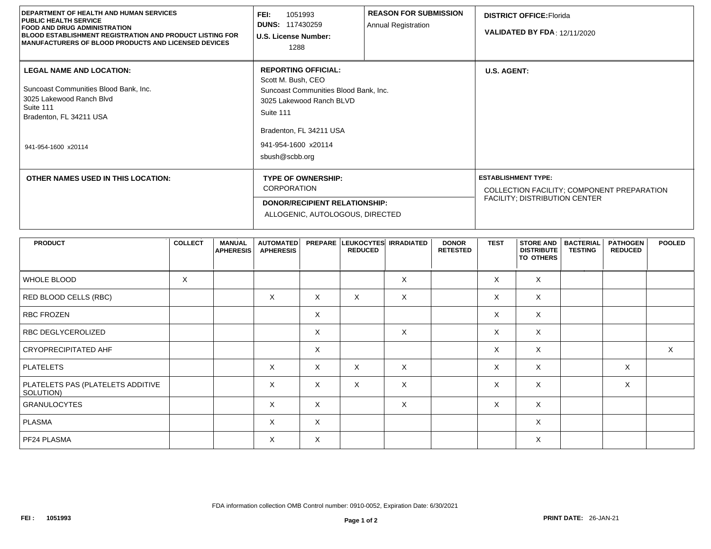| <b>DEPARTMENT OF HEALTH AND HUMAN SERVICES</b><br><b>PUBLIC HEALTH SERVICE</b><br><b>FOOD AND DRUG ADMINISTRATION</b><br><b>BLOOD ESTABLISHMENT REGISTRATION AND PRODUCT LISTING FOR</b><br><b>MANUFACTURERS OF BLOOD PRODUCTS AND LICENSED DEVICES</b> | FEI:<br>1051993<br><b>DUNS: 117430259</b><br><b>U.S. License Number:</b><br>1288                                                                                                                       | <b>REASON FOR SUBMISSION</b><br>Annual Registration | <b>DISTRICT OFFICE: Florida</b><br><b>VALIDATED BY FDA: 12/11/2020</b>                                           |
|---------------------------------------------------------------------------------------------------------------------------------------------------------------------------------------------------------------------------------------------------------|--------------------------------------------------------------------------------------------------------------------------------------------------------------------------------------------------------|-----------------------------------------------------|------------------------------------------------------------------------------------------------------------------|
| <b>LEGAL NAME AND LOCATION:</b><br>Suncoast Communities Blood Bank, Inc.<br>3025 Lakewood Ranch Blvd<br>Suite 111<br>Bradenton, FL 34211 USA<br>941-954-1600 x20114                                                                                     | <b>REPORTING OFFICIAL:</b><br>Scott M. Bush, CEO<br>Suncoast Communities Blood Bank, Inc.<br>3025 Lakewood Ranch BLVD<br>Suite 111<br>Bradenton, FL 34211 USA<br>941-954-1600 x20114<br>sbush@scbb.org |                                                     | <b>U.S. AGENT:</b>                                                                                               |
| OTHER NAMES USED IN THIS LOCATION:                                                                                                                                                                                                                      | <b>TYPE OF OWNERSHIP:</b><br><b>CORPORATION</b><br><b>DONOR/RECIPIENT RELATIONSHIP:</b><br>ALLOGENIC, AUTOLOGOUS, DIRECTED                                                                             |                                                     | <b>ESTABLISHMENT TYPE:</b><br>COLLECTION FACILITY; COMPONENT PREPARATION<br><b>FACILITY: DISTRIBUTION CENTER</b> |

| <b>PRODUCT</b>                                 | <b>COLLECT</b> | <b>MANUAL</b><br><b>APHERESIS</b> | <b>AUTOMATED</b><br><b>APHERESIS</b> |   | <b>REDUCED</b> | <b>PREPARE LEUKOCYTES IRRADIATED</b> | <b>DONOR</b><br><b>RETESTED</b> | <b>TEST</b> | <b>STORE AND</b><br><b>DISTRIBUTE</b><br>TO OTHERS | <b>BACTERIAL</b><br><b>TESTING</b> | <b>PATHOGEN</b><br><b>REDUCED</b> | <b>POOLED</b> |
|------------------------------------------------|----------------|-----------------------------------|--------------------------------------|---|----------------|--------------------------------------|---------------------------------|-------------|----------------------------------------------------|------------------------------------|-----------------------------------|---------------|
| WHOLE BLOOD                                    | X              |                                   |                                      |   |                | X                                    |                                 | $\times$    | $\mathsf{X}$                                       |                                    |                                   |               |
| RED BLOOD CELLS (RBC)                          |                |                                   | X                                    | X | $\times$       | X                                    |                                 | $\times$    | X                                                  |                                    |                                   |               |
| <b>RBC FROZEN</b>                              |                |                                   |                                      | X |                |                                      |                                 | X           | X                                                  |                                    |                                   |               |
| RBC DEGLYCEROLIZED                             |                |                                   |                                      | X |                | X                                    |                                 | X           | X                                                  |                                    |                                   |               |
| <b>CRYOPRECIPITATED AHF</b>                    |                |                                   |                                      | X |                |                                      |                                 | $\times$    | X                                                  |                                    |                                   | X             |
| <b>PLATELETS</b>                               |                |                                   | X                                    | X | $\times$       | X                                    |                                 | $\times$    | X                                                  |                                    | $\mathsf{X}$                      |               |
| PLATELETS PAS (PLATELETS ADDITIVE<br>SOLUTION) |                |                                   | X                                    | X | X              | X                                    |                                 | X           | X                                                  |                                    | X                                 |               |
| <b>GRANULOCYTES</b>                            |                |                                   | X                                    | X |                | X                                    |                                 | $\times$    | X                                                  |                                    |                                   |               |
| <b>PLASMA</b>                                  |                |                                   | X                                    | X |                |                                      |                                 |             | X                                                  |                                    |                                   |               |
| PF24 PLASMA                                    |                |                                   | X                                    | X |                |                                      |                                 |             | $\times$                                           |                                    |                                   |               |